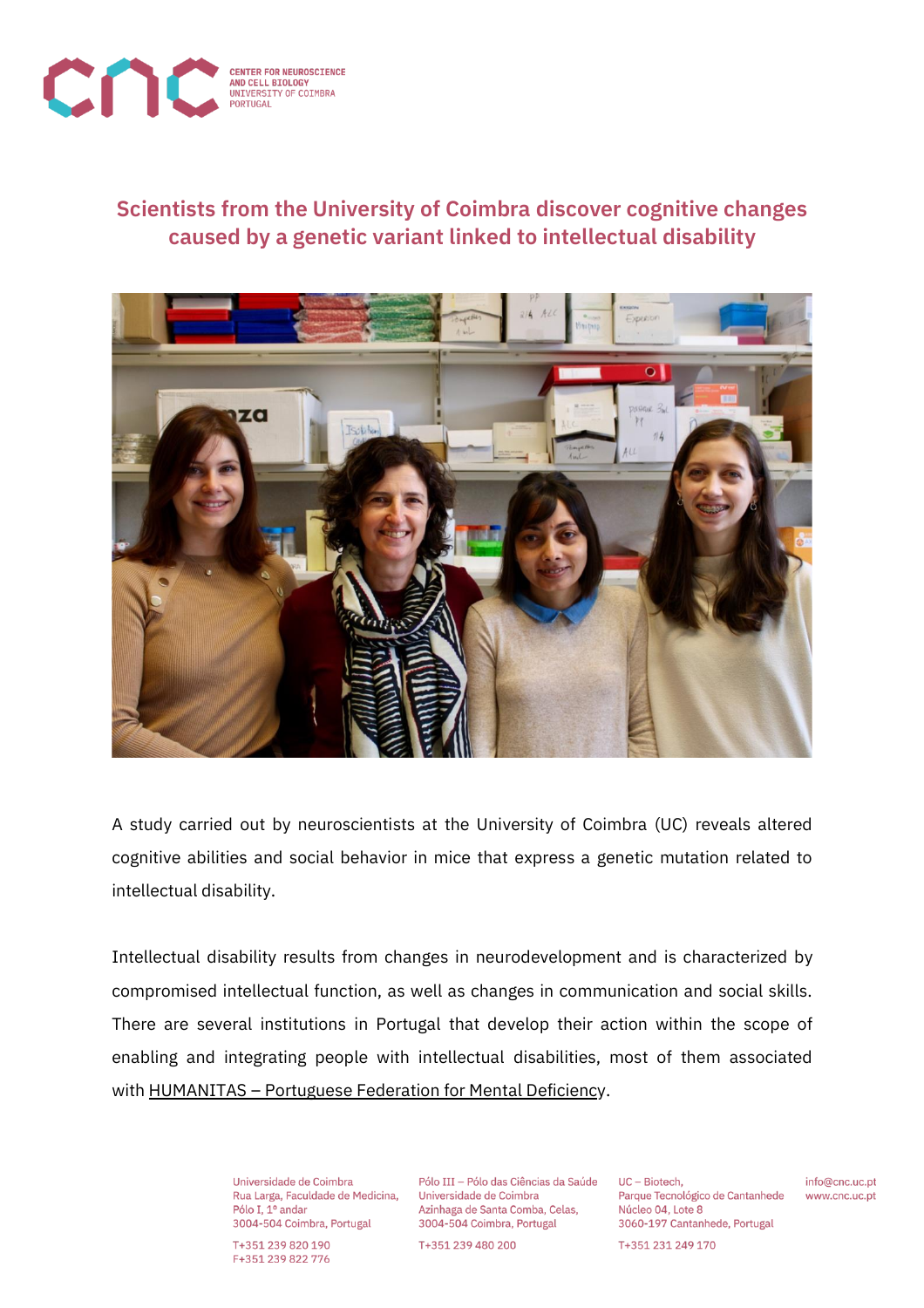

## **Scientists from the University of Coimbra discover cognitive changes caused by a genetic variant linked to intellectual disability**



A study carried out by neuroscientists at the University of Coimbra (UC) reveals altered cognitive abilities and social behavior in mice that express a genetic mutation related to intellectual disability.

Intellectual disability results from changes in neurodevelopment and is characterized by compromised intellectual function, as well as changes in communication and social skills. There are several institutions in Portugal that develop their action within the scope of enabling and integrating people with intellectual disabilities, most of them associated with [HUMANITAS](https://humanitas.org.pt/) - Portuguese Federation for Mental Deficiency.

> Universidade de Coimbra Rua Larga, Faculdade de Medicina, Pólo I. 1º andar 3004-504 Coimbra, Portugal

T+351 239 820 190 F+351 239 822 776

Pólo III - Pólo das Ciências da Saúde Universidade de Coimbra Azinhaga de Santa Comba, Celas. 3004-504 Coimbra, Portugal

T+351 239 480 200

UC - Biotech. Parque Tecnológico de Cantanhede Núcleo 04, Lote 8 3060-197 Cantanhede, Portugal

info@cnc.uc.pt www.cnc.uc.pt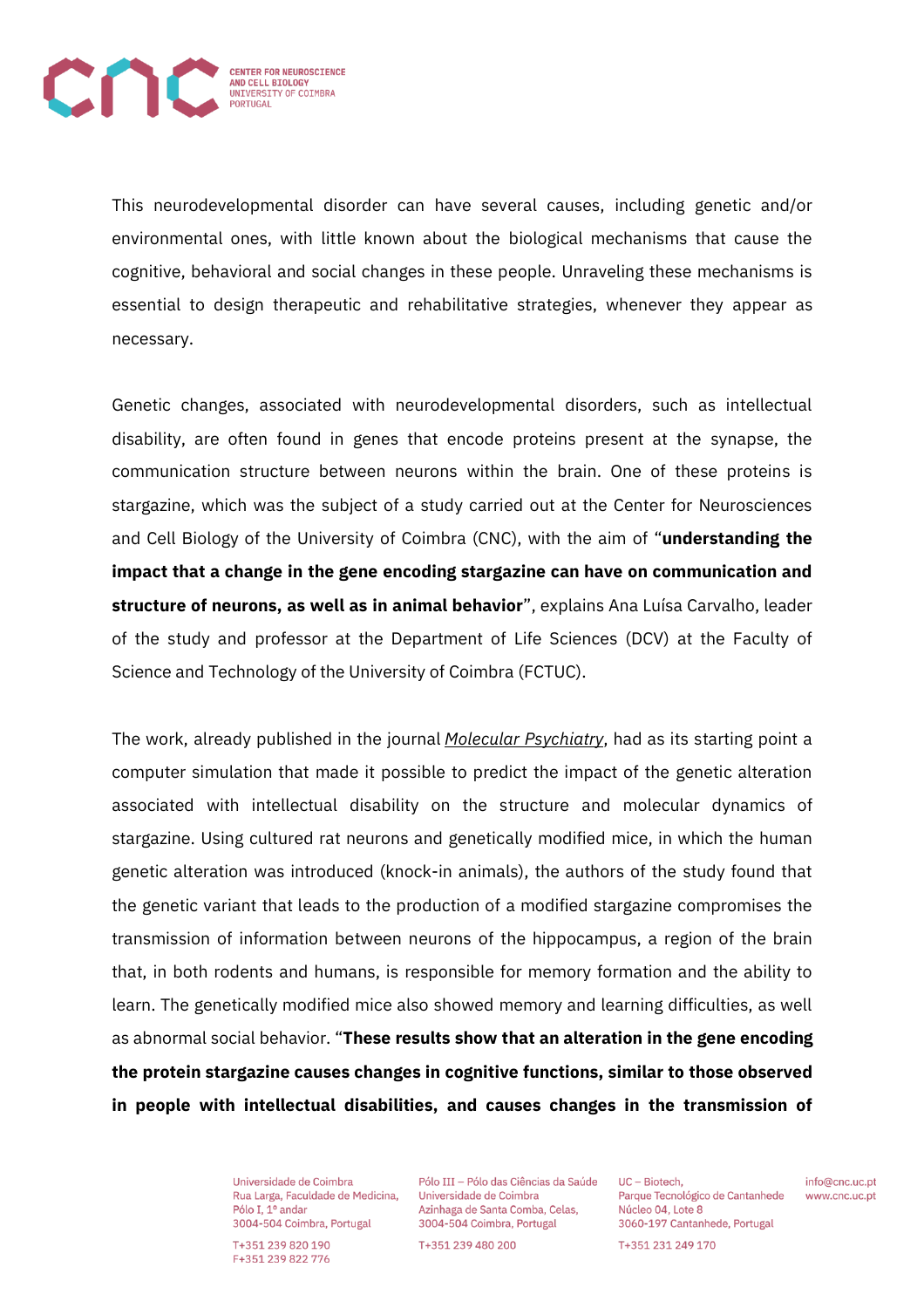

This neurodevelopmental disorder can have several causes, including genetic and/or environmental ones, with little known about the biological mechanisms that cause the cognitive, behavioral and social changes in these people. Unraveling these mechanisms is essential to design therapeutic and rehabilitative strategies, whenever they appear as necessary.

Genetic changes, associated with neurodevelopmental disorders, such as intellectual disability, are often found in genes that encode proteins present at the synapse, the communication structure between neurons within the brain. One of these proteins is stargazine, which was the subject of a study carried out at the Center for Neurosciences and Cell Biology of the University of Coimbra (CNC), with the aim of "**understanding the impact that a change in the gene encoding stargazine can have on communication and structure of neurons, as well as in animal behavior**", explains Ana Luísa Carvalho, leader of the study and professor at the Department of Life Sciences (DCV) at the Faculty of Science and Technology of the University of Coimbra (FCTUC).

The work, already published in the journal *Molecular [Psychiatry](https://www.nature.com/mp/)*, had as its starting point a computer simulation that made it possible to predict the impact of the genetic alteration associated with intellectual disability on the structure and molecular dynamics of stargazine. Using cultured rat neurons and genetically modified mice, in which the human genetic alteration was introduced (knock-in animals), the authors of the study found that the genetic variant that leads to the production of a modified stargazine compromises the transmission of information between neurons of the hippocampus, a region of the brain that, in both rodents and humans, is responsible for memory formation and the ability to learn. The genetically modified mice also showed memory and learning difficulties, as well as abnormal social behavior. "**These results show that an alteration in the gene encoding the protein stargazine causes changes in cognitive functions, similar to those observed in people with intellectual disabilities, and causes changes in the transmission of**

> Universidade de Coimbra Rua Larga, Faculdade de Medicina, Pólo I. 1º andar 3004-504 Coimbra, Portugal

T+351 239 820 190 F+351 239 822 776

Pólo III - Pólo das Ciências da Saúde Universidade de Coimbra Azinhaga de Santa Comba, Celas. 3004-504 Coimbra, Portugal

T+351 239 480 200

UC - Biotech. Parque Tecnológico de Cantanhede Núcleo 04, Lote 8 3060-197 Cantanhede, Portugal

info@cnc.uc.pt www.cnc.uc.pt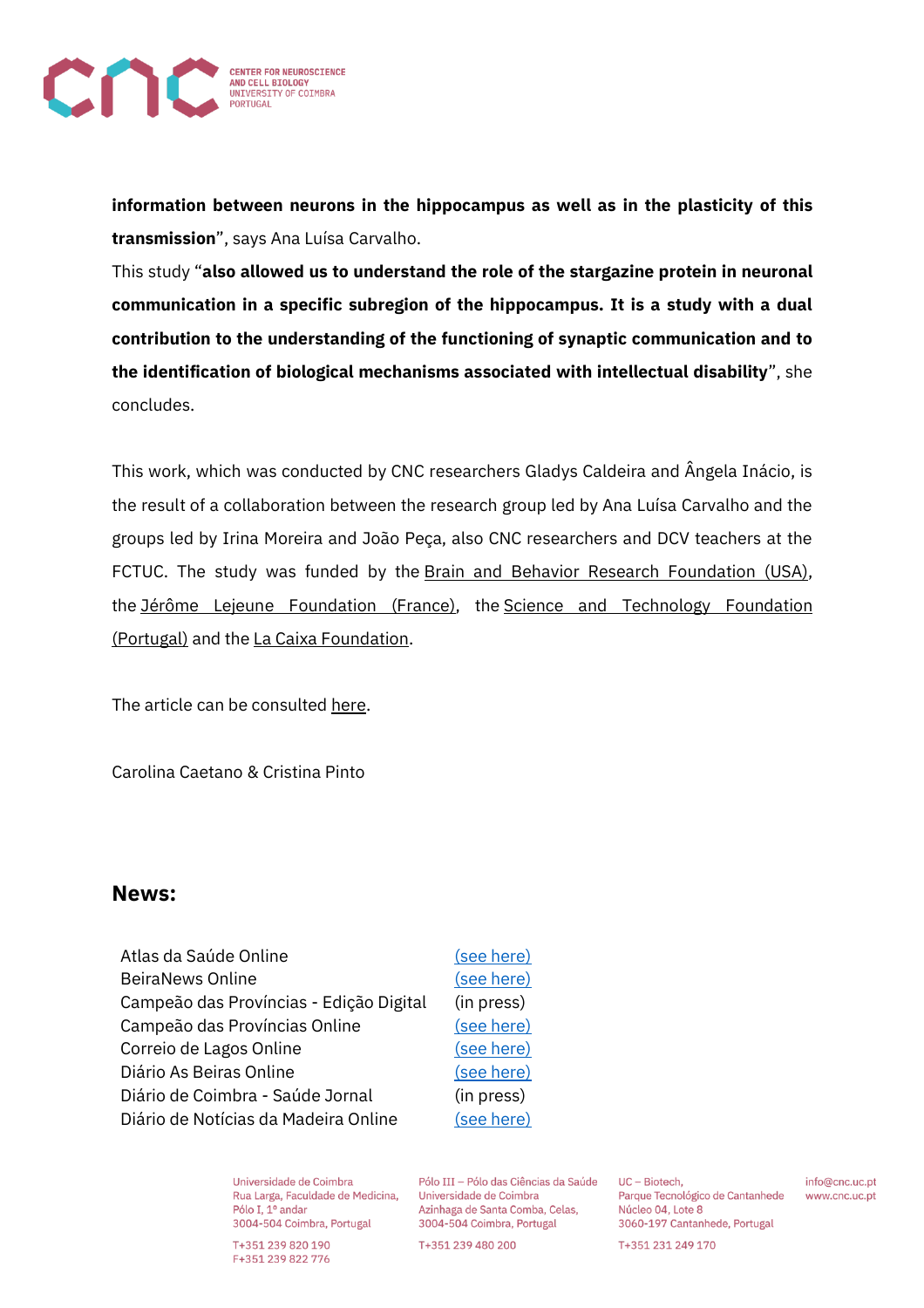

**information between neurons in the hippocampus as well as in the plasticity of this transmission**", says Ana Luísa Carvalho.

This study "**also allowed us to understand the role of the stargazine protein in neuronal communication in a specific subregion of the hippocampus. It is a study with a dual contribution to the understanding of the functioning of synaptic communication and to the identification of biological mechanisms associated with intellectual disability**", she concludes.

This work, which was conducted by CNC researchers Gladys Caldeira and Ângela Inácio, is the result of a collaboration between the research group led by Ana Luísa Carvalho and the groups led by Irina Moreira and João Peça, also CNC researchers and DCV teachers at the FCTUC. The study was funded by the Brain and Behavior Research [Foundation](https://www.bbrfoundation.org/) (USA), the Jérôme Lejeune [Foundation](https://www.fundacionlejeune.es/) (France), the Science and [Technology](https://www.fct.pt/index.phtml.pt) Foundation [\(Portugal\)](https://www.fct.pt/index.phtml.pt) and the La Caixa [Foundation.](https://fundacaolacaixa.pt/pt/)

The article can be consulted [here.](https://www.nature.com/articles/s41380-022-01487-w)

Carolina Caetano & Cristina Pinto

## **News:**

| Atlas da Saúde Online                   |  |
|-----------------------------------------|--|
| <b>BeiraNews Online</b>                 |  |
| Campeão das Províncias - Edição Digital |  |
| Campeão das Províncias Online           |  |
| Correio de Lagos Online                 |  |
| Diário As Beiras Online                 |  |
| Diário de Coimbra - Saúde Jornal        |  |
| Diário de Notícias da Madeira Online    |  |

[\(see here\)](https://www.atlasdasaude.pt/noticias/cientistas-descobrem-alteracoes-cognitivas-provocadas-por-variante-genetica-ligada) [\(see here\)](https://beiranews.pt/2022/05/06/cientistas-da-universidade-de-coimbra-descobrem-alteracoes-cognitivas-provocadas-por-variante-genetica-ligada-a-deficiencia-intelectual/) (in press) [\(see here\)](https://www.campeaoprovincias.pt/noticia/cientistas-da-uc-descobrem-alteracoes-cognitivas-provocadas-por-variante-genetica) [\(see here\)](https://correiodelagos.com/tecnologia/cientistas-da-universidade-de-coimbra-descobrem-alteracoes-cognitivas-provocadas-por-variante-genetica-ligada-a-deficiencia/) [\(see here\)](https://www.asbeiras.pt/2022/05/cientistas-de-coimbra-descobrem-alteracoes-cognitivas-provocadas-por-variante-genetica/) (in press) [\(see here\)](https://www.dnoticias.pt/2022/5/6/309709-cientistas-de-coimbra-descobrem-alteracoes-cognitivas-provocadas-por-variante-genetica/)

Universidade de Coimbra Rua Larga, Faculdade de Medicina, Pólo I. 1º andar 3004-504 Coimbra, Portugal

T+351 239 820 190 F+351 239 822 776

Pólo III - Pólo das Ciências da Saúde Universidade de Coimbra Azinhaga de Santa Comba, Celas. 3004-504 Coimbra, Portugal

T+351 239 480 200

UC - Biotech. Parque Tecnológico de Cantanhede Núcleo 04, Lote 8 3060-197 Cantanhede, Portugal

info@cnc.uc.pt www.cnc.uc.pt